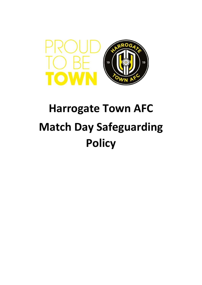

# **Harrogate Town AFC Match Day Safeguarding Policy**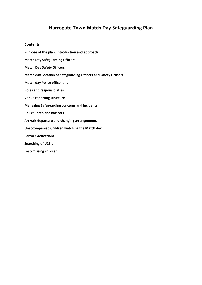## **Harrogate Town Match Day Safeguarding Plan**

#### **Contents**

**Purpose of the plan: Introduction and approach Match Day Safeguarding Officers Match Day Safety Officers Match day Location of Safeguarding Officers and Safety Officers Match day Police officer and Roles and responsibilities Venue reporting structure Managing Safeguarding concerns and incidents Ball children and mascots. Arrival/ departure and changing arrangements Unaccompanied Children watching the Match day. Partner Activations Searching of U18's Lost/missing children**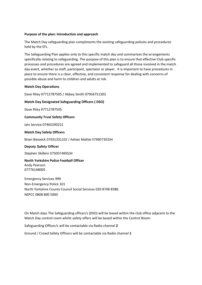#### **Purpose of the plan: Introduction and approach**

The Match Day safeguarding plan compliments the existing safeguarding policies and procedures held by the EFL.

The Safeguarding Plan applies only to this specific match day and summarises the arrangements specifically relating to safeguarding. The purpose of this plan is to ensure that effective Club specific processes and procedures are agreed and implemented to safeguard all those involved in the match day event, whether as staff, participant, spectator or player. It is important to have procedures in place to ensure there is a clear, effective, and consistent response for dealing with concerns of possible abuse and harm to children and adults at risk.

#### **Match Day Operations**

Dave Riley 07712787505 / Abbey Smith 07956751303

#### **Match Day Designated Safeguarding Officers ( DSO)**

Dave Riley 07712787505

**Community Trust Safety Officers**

Iain Service 07465290222

#### **Match Day Safety Officers**

Brian Beswick 07831331102 / Adrian Mathie 07980735334

#### **Deputy Safety Officer**

Stephen Skillern 075007485534

**North Yorkshire Police Football Officer** Andy Pearson 07776148005

Emergency Services 999 Non-Emergency Police 101 North Yorkshire County Council Social Services 020 8748 8588. NSPCC 0808 800 5000

On Match days The Safeguarding officer/s (DSO) will be based within the club office adjacent to the Match Day control room whilst safety offers will be based within the Control Room.

Safeguarding Officer/s will be contactable via Radio channel **2** 

Ground / Crowd Safety Officers will be contactable via Radio channel **1**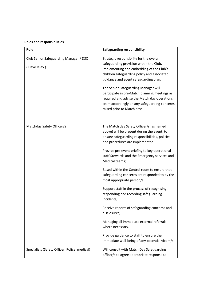### **Roles and responsibilities**

| Role                                                   | <b>Safeguarding responsibility</b>                                                                                                                                                                                                                                                                                                                                                                                                                                                                                                                                                                                                                                                                                                                                    |
|--------------------------------------------------------|-----------------------------------------------------------------------------------------------------------------------------------------------------------------------------------------------------------------------------------------------------------------------------------------------------------------------------------------------------------------------------------------------------------------------------------------------------------------------------------------------------------------------------------------------------------------------------------------------------------------------------------------------------------------------------------------------------------------------------------------------------------------------|
| Club Senior Safeguarding Manager / DSO<br>(Dave Riley) | Strategic responsibility for the overall<br>safeguarding provision within the Club.<br>Implementing and embedding of the Club's<br>children safeguarding policy and associated<br>guidance and event safeguarding plan.<br>The Senior Safeguarding Manager will<br>participate in pre-Match planning meetings as<br>required and advise the Match day operations<br>team accordingly on any safeguarding concerns<br>raised prior to Match days.                                                                                                                                                                                                                                                                                                                      |
| Matchday Safety Officer/S                              | The Match day Safety Officer/s (as named<br>above) will be present during the event, to<br>ensure safeguarding responsibilities, policies<br>and procedures are implemented.<br>Provide pre-event briefing to key operational<br>staff Stewards and the Emergency services and<br>Medical teams;<br>Based within the Control room to ensure that<br>safeguarding concerns are responded to by the<br>most appropriate person/s.<br>Support staff in the process of recognising,<br>responding and recording safeguarding<br>incidents;<br>Receive reports of safeguarding concerns and<br>disclosures;<br>Managing all immediate external referrals<br>where necessary.<br>Provide guidance to staff to ensure the<br>immediate well-being of any potential victim/s. |
| Specialists (Safety Officer, Police, medical)          | Will consult with Match Day Safeguarding<br>officer/s to agree appropriate response to                                                                                                                                                                                                                                                                                                                                                                                                                                                                                                                                                                                                                                                                                |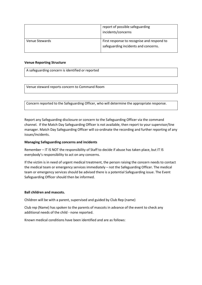|                | report of possible safeguarding<br>incidents/concerns                              |
|----------------|------------------------------------------------------------------------------------|
| Venue Stewards | First response to recognise and respond to<br>safeguarding incidents and concerns. |

#### **Venue Reporting Structure**

A safeguarding concern is identified or reported

Venue steward reports concern to Command Room

Concern reported to the Safeguarding Officer, who will determine the appropriate response.

Report any Safeguarding disclosure or concern to the Safeguarding Officer via the command channel. If the Match Day Safeguarding Officer is not available, then report to your supervisor/line manager. Match Day Safeguarding Officer will co-ordinate the recording and further reporting of any issues/incidents.

#### **Managing Safeguarding concerns and incidents**

Remember – IT IS NOT the responsibility of Staff to decide if abuse has taken place, but IT IS everybody's responsibility to act on any concerns.

If the victim is in need of urgent medical treatment, the person raising the concern needs to contact the medical team or emergency services immediately – not the Safeguarding Officer. The medical team or emergency services should be advised there is a potential Safeguarding issue. The Event Safeguarding Officer should then be informed.

#### **Ball children and mascots.**

Children will be with a parent, supervised and guided by Club Rep (name)

Club rep (Name) has spoken to the parents of mascots in advance of the event to check any additional needs of the child - none reported.

Known medical conditions have been identified and are as follows: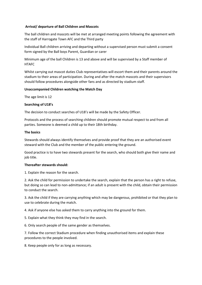#### **Arrival/ departure of Ball Children and Mascots**

The ball children and mascots will be met at arranged meeting points following the agreement with the staff of Harrogate Town AFC and the Third party

Individual Ball children arriving and departing without a supervised person must submit a consent form signed by the Ball boys Parent, Guardian or carer

Minimum age of the ball Children is 13 and above and will be supervised by a Staff member of **HTAFC** 

Whilst carrying out mascot duties Club representatives will escort them and their parents around the stadium to their areas of participation. During and after the match mascots and their supervisors should follow procedures alongside other fans and as directed by stadium staff.

#### **Unaccompanied Children watching the Match Day**

The age limit is 12

#### **Searching of U18's**

The decision to conduct searches of U18's will be made by the Safety Officer.

Protocols and the process of searching children should promote mutual respect to and from all parties. Someone is deemed a child up to their 18th birthday.

#### **The basics**

Stewards should always identify themselves and provide proof that they are an authorised event steward with the Club and the member of the public entering the ground.

Good practice is to have two stewards present for the search, who should both give their name and job title.

#### **Thereafter stewards should:**

1. Explain the reason for the search.

2. Ask the child for permission to undertake the search, explain that the person has a right to refuse, but doing so can lead to non-admittance; if an adult is present with the child, obtain their permission to conduct the search.

3. Ask the child if they are carrying anything which may be dangerous, prohibited or that they plan to use to celebrate during the match.

4. Ask if anyone else has asked them to carry anything into the ground for them.

5. Explain what they think they may find in the search.

6. Only search people of the same gender as themselves.

7. Follow the correct Stadium procedure when finding unauthorised items and explain these procedures to the people involved.

8. Keep people only for as long as necessary.